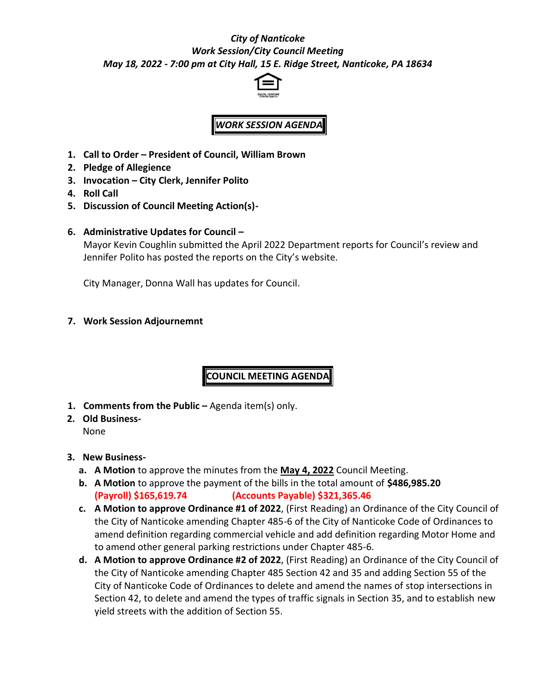## *City of Nanticoke Work Session/City Council Meeting May 18, 2022 - 7:00 pm at City Hall, 15 E. Ridge Street, Nanticoke, PA 18634*



## *WORK SESSION AGENDA*

- **1. Call to Order – President of Council, William Brown**
- **2. Pledge of Allegience**
- **3. Invocation – City Clerk, Jennifer Polito**
- **4. Roll Call**
- **5. Discussion of Council Meeting Action(s)-**
- **6. Administrative Updates for Council –**

Mayor Kevin Coughlin submitted the April 2022 Department reports for Council's review and Jennifer Polito has posted the reports on the City's website.

City Manager, Donna Wall has updates for Council.

**7. Work Session Adjournemnt**

**COUNCIL MEETING AGENDA**

- **1. Comments from the Public –** Agenda item(s) only.
- **2. Old Business-**

None

## **3. New Business-**

- **a. A Motion** to approve the minutes from the **May 4, 2022** Council Meeting.
- **b. A Motion** to approve the payment of the bills in the total amount of **\$486,985.20 (Payroll) \$165,619.74 (Accounts Payable) \$321,365.46**
- **c. A Motion to approve Ordinance #1 of 2022**, (First Reading) an Ordinance of the City Council of the City of Nanticoke amending Chapter 485-6 of the City of Nanticoke Code of Ordinances to amend definition regarding commercial vehicle and add definition regarding Motor Home and to amend other general parking restrictions under Chapter 485-6.
- **d. A Motion to approve Ordinance #2 of 2022**, (First Reading) an Ordinance of the City Council of the City of Nanticoke amending Chapter 485 Section 42 and 35 and adding Section 55 of the City of Nanticoke Code of Ordinances to delete and amend the names of stop intersections in Section 42, to delete and amend the types of traffic signals in Section 35, and to establish new yield streets with the addition of Section 55.